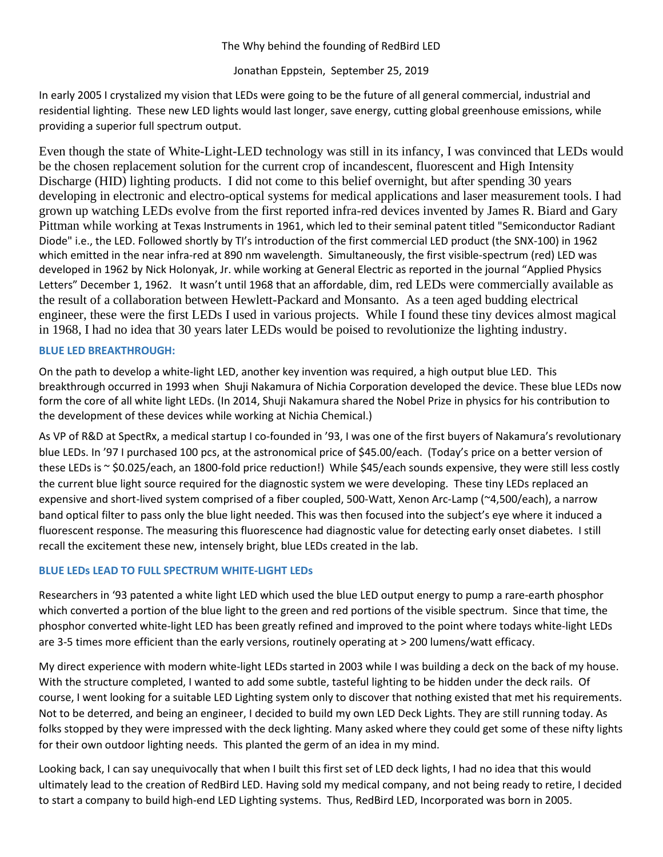#### The Why behind the founding of RedBird LED

## Jonathan Eppstein, September 25, 2019

In early 2005 I crystalized my vision that LEDs were going to be the future of all general commercial, industrial and residential lighting. These new LED lights would last longer, save energy, cutting global greenhouse emissions, while providing a superior full spectrum output.

Even though the state of White-Light-LED technology was still in its infancy, I was convinced that LEDs would be the chosen replacement solution for the current crop of incandescent, fluorescent and High Intensity Discharge (HID) lighting products. I did not come to this belief overnight, but after spending 30 years developing in electronic and electro-optical systems for medical applications and laser measurement tools. I had grown up watching LEDs evolve from the first reported infra-red devices invented by [James R. Biard](https://en.wikipedia.org/wiki/James_R._Biard) and Gary Pittman while working at Texas Instruments in 1961, which led to their seminal patent titled "Semiconductor Radiant Diode" i.e., the LED. Followed shortly by TI's introduction of the first commercial LED product (the SNX-100) in 1962 which emitted in the near infra-red at 890 nm wavelength. Simultaneously, the first visible-spectrum (red) LED was developed in 1962 by [Nick Holonyak, Jr.](https://en.wikipedia.org/wiki/Nick_Holonyak) while working at [General Electric](https://en.wikipedia.org/wiki/General_Electric) as reported in the journal "Applied Physics Letters" December 1, 1962. It wasn't until 1968 that an affordable, dim, red LEDs were commercially available as the result of a collaboration between Hewlett-Packard and Monsanto. As a teen aged budding electrical engineer, these were the first LEDs I used in various projects. While I found these tiny devices almost magical in 1968, I had no idea that 30 years later LEDs would be poised to revolutionize the lighting industry.

#### **BLUE LED BREAKTHROUGH:**

On the path to develop a white-light LED, another key invention was required, a high output blue LED. This breakthrough occurred in 1993 when [Shuji Nakamura](https://en.wikipedia.org/wiki/Shuji_Nakamura) of [Nichia Corporation](https://en.wikipedia.org/wiki/Nichia_Corporation) developed the device. These blue LEDs now form the core of all white light LEDs. (In 2014, Shuji Nakamura shared the Nobel Prize in physics for his contribution to the development of these devices while working at Nichia Chemical.)

As VP of R&D at SpectRx, a medical startup I co-founded in '93, I was one of the first buyers of Nakamura's revolutionary blue LEDs. In '97 I purchased 100 pcs, at the astronomical price of \$45.00/each. (Today's price on a better version of these LEDs is ~ \$0.025/each, an 1800-fold price reduction!) While \$45/each sounds expensive, they were still less costly the current blue light source required for the diagnostic system we were developing. These tiny LEDs replaced an expensive and short-lived system comprised of a fiber coupled, 500-Watt, Xenon Arc-Lamp (~4,500/each), a narrow band optical filter to pass only the blue light needed. This was then focused into the subject's eye where it induced a fluorescent response. The measuring this fluorescence had diagnostic value for detecting early onset diabetes. I still recall the excitement these new, intensely bright, blue LEDs created in the lab.

## **BLUE LEDs LEAD TO FULL SPECTRUM WHITE-LIGHT LEDs**

Researchers in '93 patented a white light LED which used the blue LED output energy to pump a rare-earth phosphor which converted a portion of the blue light to the green and red portions of the visible spectrum. Since that time, the phosphor converted white-light LED has been greatly refined and improved to the point where todays white-light LEDs are 3-5 times more efficient than the early versions, routinely operating at > 200 lumens/watt efficacy.

My direct experience with modern white-light LEDs started in 2003 while I was building a deck on the back of my house. With the structure completed, I wanted to add some subtle, tasteful lighting to be hidden under the deck rails. Of course, I went looking for a suitable LED Lighting system only to discover that nothing existed that met his requirements. Not to be deterred, and being an engineer, I decided to build my own LED Deck Lights. They are still running today. As folks stopped by they were impressed with the deck lighting. Many asked where they could get some of these nifty lights for their own outdoor lighting needs. This planted the germ of an idea in my mind.

Looking back, I can say unequivocally that when I built this first set of LED deck lights, I had no idea that this would ultimately lead to the creation of RedBird LED. Having sold my medical company, and not being ready to retire, I decided to start a company to build high-end LED Lighting systems. Thus, RedBird LED, Incorporated was born in 2005.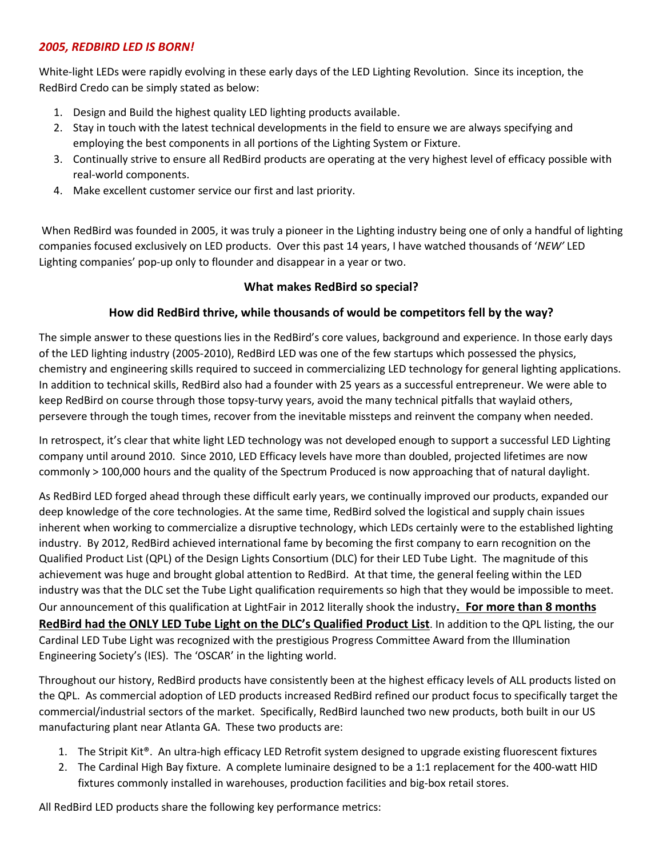# *2005, REDBIRD LED IS BORN!*

White-light LEDs were rapidly evolving in these early days of the LED Lighting Revolution. Since its inception, the RedBird Credo can be simply stated as below:

- 1. Design and Build the highest quality LED lighting products available.
- 2. Stay in touch with the latest technical developments in the field to ensure we are always specifying and employing the best components in all portions of the Lighting System or Fixture.
- 3. Continually strive to ensure all RedBird products are operating at the very highest level of efficacy possible with real-world components.
- 4. Make excellent customer service our first and last priority.

When RedBird was founded in 2005, it was truly a pioneer in the Lighting industry being one of only a handful of lighting companies focused exclusively on LED products. Over this past 14 years, I have watched thousands of '*NEW'* LED Lighting companies' pop-up only to flounder and disappear in a year or two.

## **What makes RedBird so special?**

# **How did RedBird thrive, while thousands of would be competitors fell by the way?**

The simple answer to these questions lies in the RedBird's core values, background and experience. In those early days of the LED lighting industry (2005-2010), RedBird LED was one of the few startups which possessed the physics, chemistry and engineering skills required to succeed in commercializing LED technology for general lighting applications. In addition to technical skills, RedBird also had a founder with 25 years as a successful entrepreneur. We were able to keep RedBird on course through those topsy-turvy years, avoid the many technical pitfalls that waylaid others, persevere through the tough times, recover from the inevitable missteps and reinvent the company when needed.

In retrospect, it's clear that white light LED technology was not developed enough to support a successful LED Lighting company until around 2010. Since 2010, LED Efficacy levels have more than doubled, projected lifetimes are now commonly > 100,000 hours and the quality of the Spectrum Produced is now approaching that of natural daylight.

As RedBird LED forged ahead through these difficult early years, we continually improved our products, expanded our deep knowledge of the core technologies. At the same time, RedBird solved the logistical and supply chain issues inherent when working to commercialize a disruptive technology, which LEDs certainly were to the established lighting industry. By 2012, RedBird achieved international fame by becoming the first company to earn recognition on the Qualified Product List (QPL) of the Design Lights Consortium (DLC) for their LED Tube Light. The magnitude of this achievement was huge and brought global attention to RedBird. At that time, the general feeling within the LED industry was that the DLC set the Tube Light qualification requirements so high that they would be impossible to meet. Our announcement of this qualification at LightFair in 2012 literally shook the industry**. For more than 8 months RedBird had the ONLY LED Tube Light on the DLC's Qualified Product List**. In addition to the QPL listing, the our Cardinal LED Tube Light was recognized with the prestigious Progress Committee Award from the Illumination Engineering Society's (IES). The 'OSCAR' in the lighting world.

Throughout our history, RedBird products have consistently been at the highest efficacy levels of ALL products listed on the QPL. As commercial adoption of LED products increased RedBird refined our product focus to specifically target the commercial/industrial sectors of the market. Specifically, RedBird launched two new products, both built in our US manufacturing plant near Atlanta GA. These two products are:

- 1. The Stripit Kit®. An ultra-high efficacy LED Retrofit system designed to upgrade existing fluorescent fixtures
- 2. The Cardinal High Bay fixture. A complete luminaire designed to be a 1:1 replacement for the 400-watt HID fixtures commonly installed in warehouses, production facilities and big-box retail stores.

All RedBird LED products share the following key performance metrics: